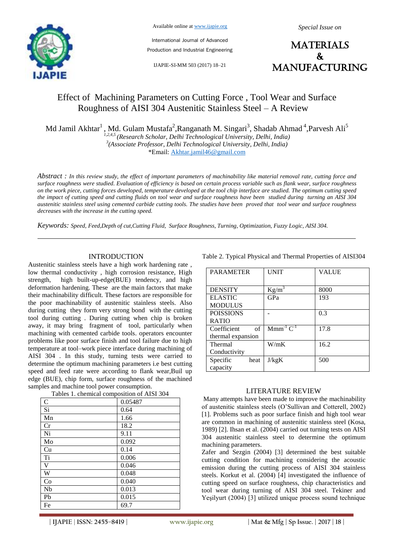

Available online at www.ijapie.org

International Journal of Advanced Production and Industrial Engineering

IJAPIE-SI-MM 503 (2017) 18–21

**MATERIALS**  $\mathbf{k}$ manufacturing

# Effect of Machining Parameters on Cutting Force , Tool Wear and Surface Roughness of AISI 304 Austenitic Stainless Steel – A Review

Md Jamil Akhtar $^1$ , Md. Gulam Mustafa<sup>2</sup>,Ranganath M. Singari<sup>3</sup>, Shadab Ahmad <sup>4</sup>,Parvesh Ali<sup>5</sup>

*1,2,4,5 (Research Scholar, Delhi Technological University, Delhi, India) 3 (Associate Professor, Delhi Technological University, Delhi, India)* \*Email: Akhtar.jamil46@gmail.com

*Abstract : In this review study, the effect of important parameters of machinability like material removal rate, cutting force and surface roughness were studied. Evaluation of efficiency is based on certain process variable such as flank wear, surface roughness on the work piece, cutting forces developed, temperature developed at the tool chip interface are studied. The optimum cutting speed the impact of cutting speed and cutting fluids on tool wear and surface roughness have been studied during turning an AISI 304 austenitic stainless steel using cemented carbide cutting tools. The studies have been proved that tool wear and surface roughness decreases with the increase in the cutting speed.*

*Keywords: Speed, Feed,Depth of cut,Cutting Fluid, Surface Roughness, Turning, Optimization, Fuzzy Logic, AISI 304.*

## INTRODUCTION

Austenitic stainless steels have a high work hardening rate , low thermal conductivity , high corrosion resistance, High strength, high built-up-edge(BUE) tendency, and high deformation hardening. These are the main factors that make their machinability difficult. These factors are responsible for the poor machinability of austenitic stainless steels. Also during cutting they form very strong bond with the cutting tool during cutting . During cutting when chip is broken away, it may bring fragment of tool, particularly when machining with cemented carbide tools. operators encounter problems like poor surface finish and tool failure due to high temperature at tool–work piece interface during machining of AISI 304 . In this study, turning tests were carried to determine the optimum machining parameters i.e best cutting speed and feed rate were according to flank wear,Buil up edge (BUE), chip form, surface roughness of the machined samples and machine tool power consumption.

| radics 1. Chemical composition of <i>T</i> mor 50+ |         |  |
|----------------------------------------------------|---------|--|
| $\mathbf C$                                        | 0.05487 |  |
| Si                                                 | 0.64    |  |
| Mn                                                 | 1.66    |  |
| Cr                                                 | 18.2    |  |
| Ni                                                 | 9.11    |  |
| Mo                                                 | 0.092   |  |
| Cu                                                 | 0.14    |  |
| Ti                                                 | 0.006   |  |
| $\mathbf V$                                        | 0.046   |  |
| W                                                  | 0.048   |  |
| Co                                                 | 0.040   |  |
| Nb                                                 | 0.013   |  |
| Pb                                                 | 0.015   |  |
| Fe                                                 | 69.7    |  |

Tables 1. chemical composition of AISI 304

Table 2. Typical Physical and Thermal Properties of AISI304

| <b>PARAMETER</b>  | <b>UNIT</b>      | <b>VALUE</b> |
|-------------------|------------------|--------------|
|                   |                  |              |
| <b>DENSITY</b>    | $Kg/m^3$         | 8000         |
| <b>ELASTIC</b>    | GPa              | 193          |
| <b>MODULUS</b>    |                  |              |
| <b>POISSIONS</b>  |                  | 0.3          |
| <b>RATIO</b>      |                  |              |
| of<br>Coefficient | $Mmm^{-1}C^{-1}$ | 17.8         |
| thermal expansion |                  |              |
| Thermal           | W/mK             | 16.2         |
| Conductivity      |                  |              |
| Specific<br>heat  | J/kgK            | 500          |
| capacity          |                  |              |

## LITERATURE REVIEW

Many attempts have been made to improve the machinability of austenitic stainless steels (O'Sullivan and Cotterell, 2002) [1]. Problems such as poor surface finish and high tool wear are common in machining of austenitic stainless steel (Kosa, 1989) [2]. Ihsan et al. (2004) carried out turning tests on AISI 304 austenitic stainless steel to determine the optimum machining parameters.

Zafer and Sezgin (2004) [3] determined the best suitable cutting condition for machining considering the acoustic emission during the cutting process of AISI 304 stainless steels. Korkut et al. (2004) [4] investigated the influence of cutting speed on surface roughness, chip characteristics and tool wear during turning of AISI 304 steel. Tekiner and Yeşilyurt (2004) [3] utilized unique process sound technique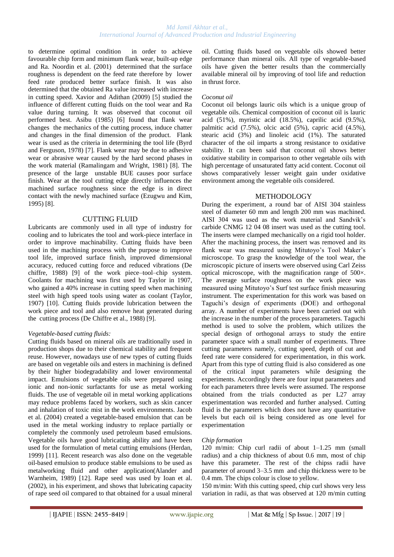# *Md Jamil Akhtar et al., International Journal of Advanced Production and Industrial Engineering*

to determine optimal condition in order to achieve favourable chip form and minimum flank wear, built-up edge and Ra. Noordin et al. (2001) determined that the surface roughness is dependent on the feed rate therefore by lower feed rate produced better surface finish. It was also determined that the obtained Ra value increased with increase in cutting speed. Xavior and Adithan (2009) [5] studied the influence of different cutting fluids on the tool wear and Ra value during turning. It was observed that coconut oil performed best. Asibu (1985) [6] found that flank wear changes the mechanics of the cutting process, induce chatter and changes in the final dimension of the product. Flank wear is used as the criteria in determining the tool life (Byrd and Ferguson, 1978) [7]. Flank wear may be due to adhesive wear or abrasive wear caused by the hard second phases in the work material (Ramalingam and Wright, 1981) [8]. The presence of the large unstable BUE causes poor surface finish. Wear at the tool cutting edge directly influences the machined surface roughness since the edge is in direct contact with the newly machined surface (Ezugwu and Kim, 1995) [8].

## CUTTING FLUID

Lubricants are commonly used in all type of industry for cooling and to lubricates the tool and work-piece interface in order to improve machinability. Cutting fluids have been used in the machining process with the purpose to improve tool life, improved surface finish, improved dimensional accuracy, reduced cutting force and reduced vibrations (De chiffre, 1988) [9] of the work piece–tool–chip system. Coolants for machining was first used by Taylor in 1907, who gained a 40% increase in cutting speed when machining steel with high speed tools using water as coolant (Taylor, 1907) [10]. Cutting fluids provide lubrication between the work piece and tool and also remove heat generated during the cutting process (De Chiffre et al., 1988) [9].

## *Vegetable-based cutting fluids:*

Cutting fluids based on mineral oils are traditionally used in production shops due to their chemical stability and frequent reuse. However, nowadays use of new types of cutting fluids are based on vegetable oils and esters in machining is defined by their higher biodegradability and lower environmental impact. Emulsions of vegetable oils were prepared using ionic and non-ionic surfactants for use as metal working fluids. The use of vegetable oil in metal working applications may reduce problems faced by workers, such as skin cancer and inhalation of toxic mist in the work environments. Jacob et al. (2004) created a vegetable-based emulsion that can be used in the metal working industry to replace partially or completely the commonly used petroleum based emulsions. Vegetable oils have good lubricating ability and have been used for the formulation of metal cutting emulsions (Herdan, 1999) [11]. Recent research was also done on the vegetable oil-based emulsion to produce stable emulsions to be used as metalworking fluid and other application(Alander and Warnheim, 1989) [12]. Rape seed was used by Ioan et al. (2002), in his experiment, and shows that lubricating capacity of rape seed oil compared to that obtained for a usual mineral oil. Cutting fluids based on vegetable oils showed better performance than mineral oils. All type of vegetable-based oils have given the better results than the commercially available mineral oil by improving of tool life and reduction in thrust force.

# *Coconut oil*

Coconut oil belongs lauric oils which is a unique group of vegetable oils. Chemical composition of coconut oil is lauric acid (51%), myristic acid (18.5%), caprilic acid (9.5%), palmitic acid (7.5%), olcic acid (5%), capric acid (4.5%), stearic acid (3%) and linoleic acid (1%). The saturated character of the oil imparts a strong resistance to oxidative stability. It can been said that coconut oil shows better oxidative stability in comparison to other vegetable oils with high percentage of unsaturated fatty acid content. Coconut oil shows comparatively lesser weight gain under oxidative environment among the vegetable oils considered.

## METHODOLOGY

During the experiment, a round bar of AISI 304 stainless steel of diameter 60 mm and length 200 mm was machined. AISI 304 was used as the work material and Sandvik's carbide CNMG 12 04 08 insert was used as the cutting tool. The inserts were clamped mechanically on a rigid tool holder. After the machining process, the insert was removed and its flank wear was measured using Mitutoyo's Tool Maker's microscope. To grasp the knowledge of the tool wear, the microscopic picture of inserts were observed using Carl Zeiss optical microscope, with the magnification range of 500×. The average surface roughness on the work piece was measured using Mitutoyo's Surf test surface finish measuring instrument. The experimentation for this work was based on Taguchi's design of experiments (DOE) and orthogonal array. A number of experiments have been carried out with the increase in the number of the process parameters. Taguchi method is used to solve the problem, which utilizes the special design of orthogonal arrays to study the entire parameter space with a small number of experiments. Three cutting parameters namely, cutting speed, depth of cut and feed rate were considered for experimentation, in this work. Apart from this type of cutting fluid is also considered as one of the critical input parameters while designing the experiments. Accordingly there are four input parameters and for each parameters three levels were assumed. The response obtained from the trials conducted as per L27 array experimentation was recorded and further analysed. Cutting fluid is the parameters which does not have any quantitative levels but each oil is being considered as one level for experimentation

## *Chip formation*

120 m/min: Chip curl radii of about 1–1.25 mm (small radius) and a chip thickness of about 0.6 mm, most of chip have this parameter. The rest of the chipss radii have parameter of around 3–3.5 mm and chip thickness were to be 0.4 mm. The chips colour is close to yellow.

150 m/min: With this cutting speed, chip curl shows very less variation in radii, as that was observed at 120 m/min cutting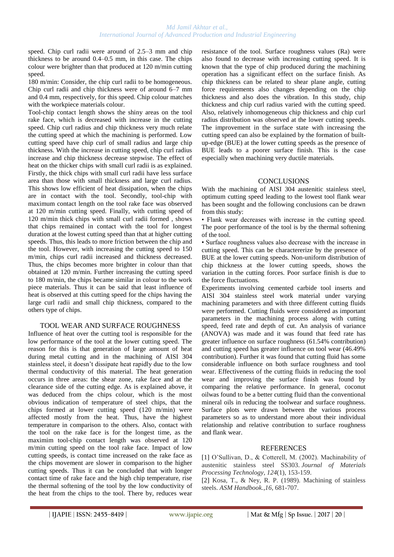speed. Chip curl radii were around of 2.5–3 mm and chip thickness to be around 0.4–0.5 mm, in this case. The chips colour were brighter than that produced at 120 m/min cutting speed.

180 m/min: Consider, the chip curl radii to be homogeneous. Chip curl radii and chip thickness were of around 6–7 mm and 0.4 mm, respectively, for this speed. Chip colour matches with the workpiece materials colour.

Tool-chip contact length shows the shiny areas on the tool rake face, which is decreased with increase in the cutting speed. Chip curl radius and chip thickness very much relate the cutting speed at which the machining is performed. Low cutting speed have chip curl of small radius and large chip thickness. With the increase in cutting speed, chip curl radius increase and chip thickness decrease stepwise. The effect of heat on the thicker chips with small curl radii is as explained. Firstly, the thick chips with small curl radii have less surface area than those with small thickness and large curl radius. This shows low efficient of heat dissipation, when the chips are in contact with the tool. Secondly, tool-chip with maximum contact length on the tool rake face was observed at 120 m/min cutting speed. Finally, with cutting speed of 120 m/min thick chips with small curl radii formed , shows that chips remained in contact with the tool for longest duration at the lowest cutting speed than that at higher cutting speeds. Thus, this leads to more friction between the chip and the tool. However, with increasing the cutting speed to 150 m/min, chips curl radii increased and thickness decreased. Thus, the chips becomes more brighter in colour than that obtained at 120 m/min. Further increasing the cutting speed to 180 m/min, the chips became similar in colour to the work piece materials. Thus it can be said that least influence of heat is observed at this cutting speed for the chips having the large curl radii and small chip thickness, compared to the others type of chips.

# TOOL WEAR AND SURFACE ROUGHNESS

Influence of heat over the cutting tool is responsible for the low performance of the tool at the lower cutting speed. The reason for this is that generation of large amount of heat during metal cutting and in the machining of AISI 304 stainless steel, it doesn't dissipate heat rapidly due to the low thermal conductivity of this material. The heat generation occurs in three areas: the shear zone, rake face and at the clearance side of the cutting edge. As is explained above, it was deduced from the chips colour, which is the most obvious indication of temperature of steel chips, that the chips formed at lower cutting speed (120 m/min) were affected mostly from the heat. Thus, have the highest temperature in comparison to the others. Also, contact with the tool on the rake face is for the longest time, as the maximim tool-chip contact length was observed at 120 m/min cutting speed on the tool rake face. Impact of low cutting speeds, is contact time increased on the rake face as the chips movement are slower in comparison to the higher cutting speeds. Thus it can be concluded that with longer contact time of rake face and the high chip temperature, rise the thermal softening of the tool by the low conductivity of the heat from the chips to the tool. There by, reduces wear resistance of the tool. Surface roughness values (Ra) were also found to decrease with increasing cutting speed. It is known that the type of chip produced during the machining operation has a significant effect on the surface finish. As chip thickness can be related to shear plane angle, cutting force requirements also changes depending on the chip thickness and also does the vibration. In this study, chip thickness and chip curl radius varied with the cutting speed. Also, relatively inhomogeneous chip thickness and chip curl radius distribution was observed at the lower cutting speeds. The improvement in the surface state with increasing the cutting speed can also be explained by the formation of builtup-edge (BUE) at the lower cutting speeds as the presence of BUE leads to a poorer surface finish. This is the case especially when machining very ductile materials.

# **CONCLUSIONS**

With the machining of AISI 304 austenitic stainless steel, optimum cutting speed leading to the lowest tool flank wear has been sought and the following conclusions can be drawn from this study:

• Flank wear decreases with increase in the cutting speed. The poor performance of the tool is by the thermal softening of the tool.

• Surface roughness values also decrease with the increase in cutting speed. This can be charactererize by the presence of BUE at the lower cutting speeds. Non-uniform distribution of chip thickness at the lower cutting speeds, shows the variation in the cutting forces. Poor surface finish is due to the force fluctuations.

Experiments involving cemented carbide tool inserts and AISI 304 stainless steel work material under varying machining parameters and with three different cutting fluids were performed. Cutting fluids were considered as important parameters in the machining process along with cutting speed, feed rate and depth of cut. An analysis of variance (ANOVA) was made and it was found that feed rate has greater influence on surface roughness (61.54% contribution) and cutting speed has greater influence on tool wear (46.49% contribution). Further it was found that cutting fluid has some considerable influence on both surface roughness and tool wear. Effectiveness of the cutting fluids in reducing the tool wear and improving the surface finish was found by comparing the relative performance. In general, coconut oilwas found to be a better cutting fluid than the conventional mineral oils in reducing the toolwear and surface roughness. Surface plots were drawn between the various process parameters so as to understand more about their individual relationship and relative contribution to surface roughness and flank wear.

# **REFERENCES**

[1] O'Sullivan, D., & Cotterell, M. (2002). Machinability of austenitic stainless steel SS303. *Journal of Materials Processing Technology*, *124*(1), 153-159.

[2] Kosa, T., & Ney, R. P. (1989). Machining of stainless steels. *ASM Handbook.*,*16*, 681-707.